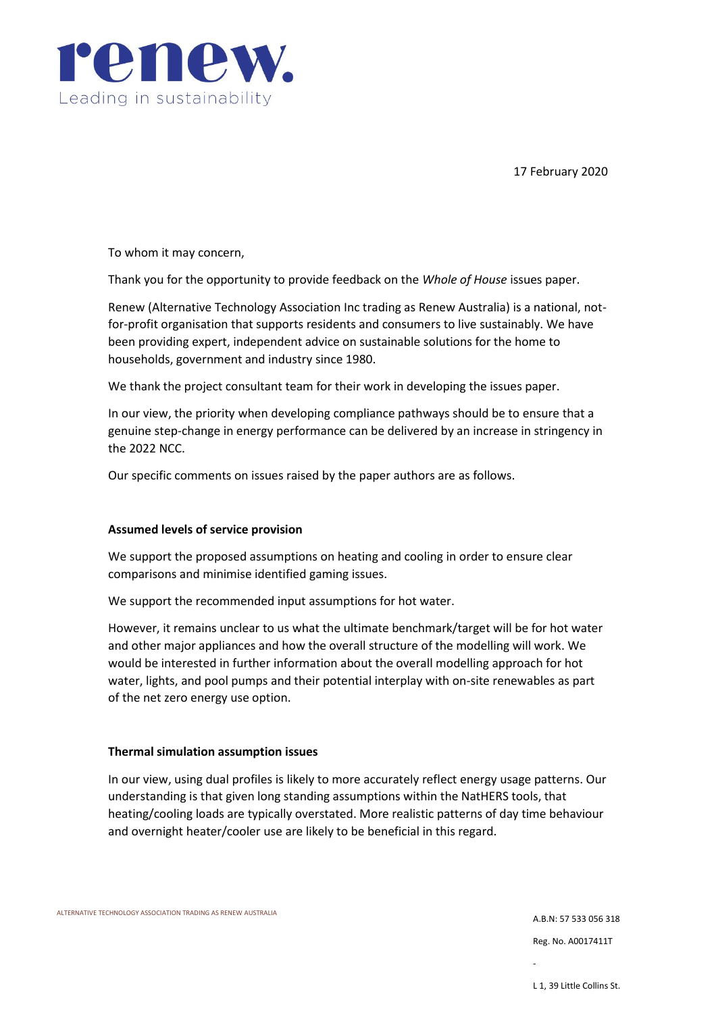

17 February 2020

To whom it may concern,

Thank you for the opportunity to provide feedback on the *Whole of House* issues paper.

Renew (Alternative Technology Association Inc trading as Renew Australia) is a national, notfor-profit organisation that supports residents and consumers to live sustainably. We have been providing expert, independent advice on sustainable solutions for the home to households, government and industry since 1980.

We thank the project consultant team for their work in developing the issues paper.

In our view, the priority when developing compliance pathways should be to ensure that a genuine step-change in energy performance can be delivered by an increase in stringency in the 2022 NCC.

Our specific comments on issues raised by the paper authors are as follows.

### **Assumed levels of service provision**

We support the proposed assumptions on heating and cooling in order to ensure clear comparisons and minimise identified gaming issues.

We support the recommended input assumptions for hot water.

However, it remains unclear to us what the ultimate benchmark/target will be for hot water and other major appliances and how the overall structure of the modelling will work. We would be interested in further information about the overall modelling approach for hot water, lights, and pool pumps and their potential interplay with on-site renewables as part of the net zero energy use option.

### **Thermal simulation assumption issues**

In our view, using dual profiles is likely to more accurately reflect energy usage patterns. Our understanding is that given long standing assumptions within the NatHERS tools, that heating/cooling loads are typically overstated. More realistic patterns of day time behaviour and overnight heater/cooler use are likely to be beneficial in this regard.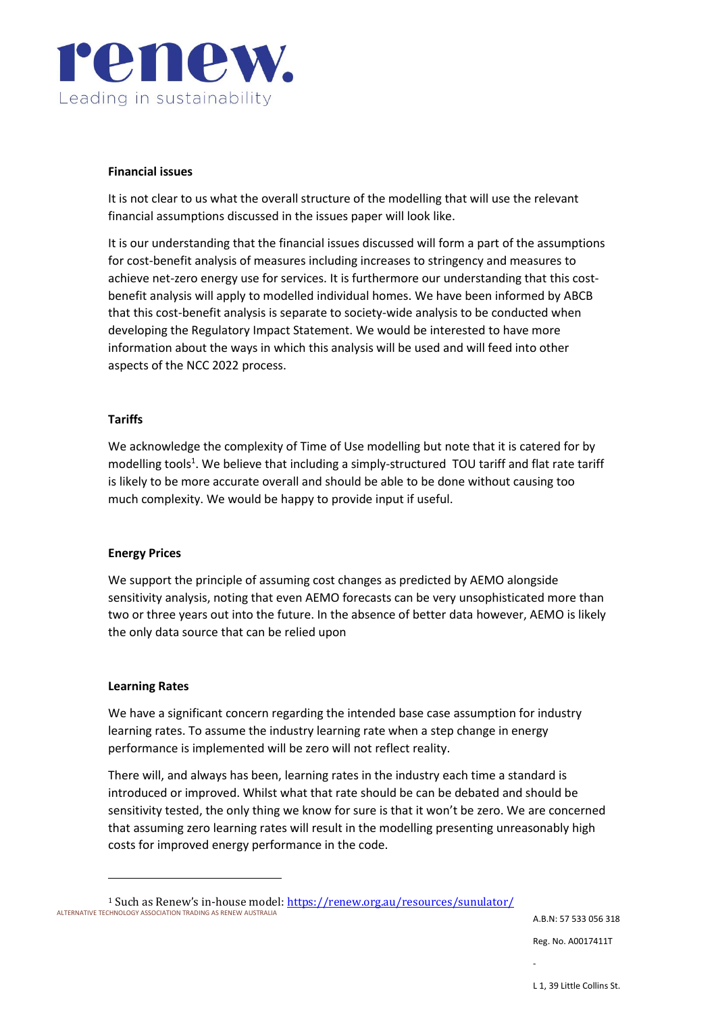

### **Financial issues**

It is not clear to us what the overall structure of the modelling that will use the relevant financial assumptions discussed in the issues paper will look like.

It is our understanding that the financial issues discussed will form a part of the assumptions for cost-benefit analysis of measures including increases to stringency and measures to achieve net-zero energy use for services. It is furthermore our understanding that this costbenefit analysis will apply to modelled individual homes. We have been informed by ABCB that this cost-benefit analysis is separate to society-wide analysis to be conducted when developing the Regulatory Impact Statement. We would be interested to have more information about the ways in which this analysis will be used and will feed into other aspects of the NCC 2022 process.

### **Tariffs**

We acknowledge the complexity of Time of Use modelling but note that it is catered for by modelling tools<sup>1</sup>. We believe that including a simply-structured TOU tariff and flat rate tariff is likely to be more accurate overall and should be able to be done without causing too much complexity. We would be happy to provide input if useful.

#### **Energy Prices**

We support the principle of assuming cost changes as predicted by AEMO alongside sensitivity analysis, noting that even AEMO forecasts can be very unsophisticated more than two or three years out into the future. In the absence of better data however, AEMO is likely the only data source that can be relied upon

#### **Learning Rates**

We have a significant concern regarding the intended base case assumption for industry learning rates. To assume the industry learning rate when a step change in energy performance is implemented will be zero will not reflect reality.

There will, and always has been, learning rates in the industry each time a standard is introduced or improved. Whilst what that rate should be can be debated and should be sensitivity tested, the only thing we know for sure is that it won't be zero. We are concerned that assuming zero learning rates will result in the modelling presenting unreasonably high costs for improved energy performance in the code.

A.B.N: 57 533 056 318

Reg. No. A0017411T

ALTERNATIVE TECHNOLOGY ASSOCIATION TRADING AS RENEW AUSTRALIA <sup>1</sup> Such as Renew's in-house model[: https://renew.org.au/resources/sunulator/](https://renew.org.au/resources/sunulator/)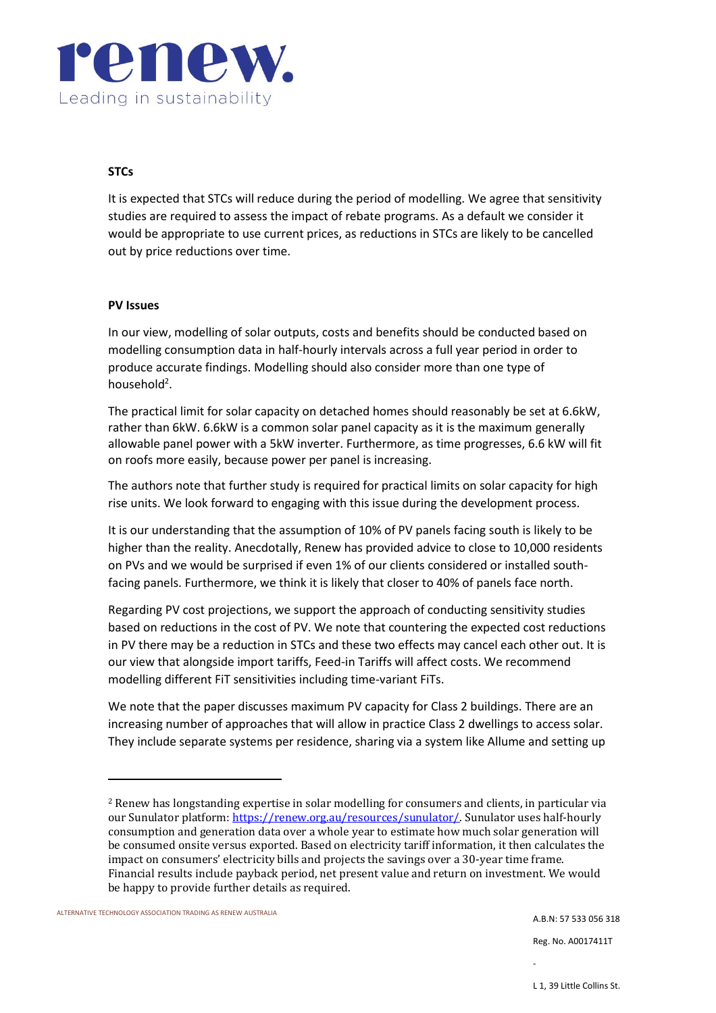

# **STCs**

It is expected that STCs will reduce during the period of modelling. We agree that sensitivity studies are required to assess the impact of rebate programs. As a default we consider it would be appropriate to use current prices, as reductions in STCs are likely to be cancelled out by price reductions over time.

### **PV Issues**

In our view, modelling of solar outputs, costs and benefits should be conducted based on modelling consumption data in half-hourly intervals across a full year period in order to produce accurate findings. Modelling should also consider more than one type of household<sup>2</sup>.

The practical limit for solar capacity on detached homes should reasonably be set at 6.6kW, rather than 6kW. 6.6kW is a common solar panel capacity as it is the maximum generally allowable panel power with a 5kW inverter. Furthermore, as time progresses, 6.6 kW will fit on roofs more easily, because power per panel is increasing.

The authors note that further study is required for practical limits on solar capacity for high rise units. We look forward to engaging with this issue during the development process.

It is our understanding that the assumption of 10% of PV panels facing south is likely to be higher than the reality. Anecdotally, Renew has provided advice to close to 10,000 residents on PVs and we would be surprised if even 1% of our clients considered or installed southfacing panels. Furthermore, we think it is likely that closer to 40% of panels face north.

Regarding PV cost projections, we support the approach of conducting sensitivity studies based on reductions in the cost of PV. We note that countering the expected cost reductions in PV there may be a reduction in STCs and these two effects may cancel each other out. It is our view that alongside import tariffs, Feed-in Tariffs will affect costs. We recommend modelling different FiT sensitivities including time-variant FiTs.

We note that the paper discusses maximum PV capacity for Class 2 buildings. There are an increasing number of approaches that will allow in practice Class 2 dwellings to access solar. They include separate systems per residence, sharing via a system like Allume and setting up

Reg. No. A0017411T

<sup>2</sup> Renew has longstanding expertise in solar modelling for consumers and clients, in particular via our Sunulator platform[: https://renew.org.au/resources/sunulator/.](https://renew.org.au/resources/sunulator/) Sunulator uses half-hourly consumption and generation data over a whole year to estimate how much solar generation will be consumed onsite versus exported. Based on electricity tariff information, it then calculates the impact on consumers' electricity bills and projects the savings over a 30-year time frame. Financial results include payback period, net present value and return on investment. We would be happy to provide further details as required.